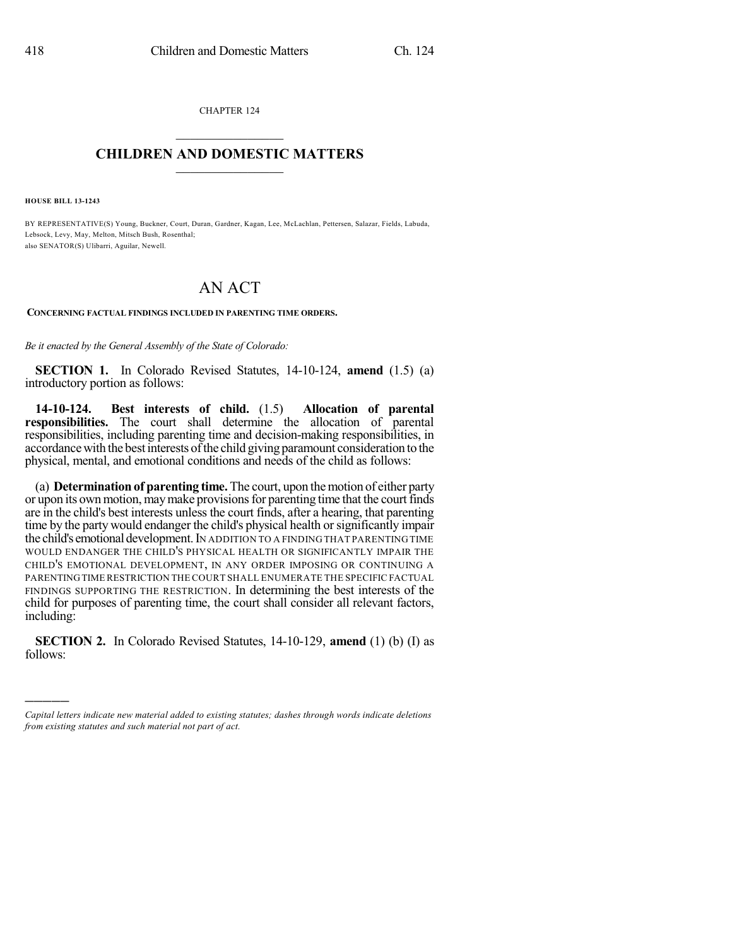CHAPTER 124  $\mathcal{L}_\text{max}$  . The set of the set of the set of the set of the set of the set of the set of the set of the set of the set of the set of the set of the set of the set of the set of the set of the set of the set of the set

## **CHILDREN AND DOMESTIC MATTERS**  $\_$

**HOUSE BILL 13-1243**

)))))

BY REPRESENTATIVE(S) Young, Buckner, Court, Duran, Gardner, Kagan, Lee, McLachlan, Pettersen, Salazar, Fields, Labuda, Lebsock, Levy, May, Melton, Mitsch Bush, Rosenthal; also SENATOR(S) Ulibarri, Aguilar, Newell.

## AN ACT

**CONCERNING FACTUAL FINDINGS INCLUDED IN PARENTING TIME ORDERS.**

*Be it enacted by the General Assembly of the State of Colorado:*

**SECTION 1.** In Colorado Revised Statutes, 14-10-124, **amend** (1.5) (a) introductory portion as follows:

**14-10-124. Best interests of child.** (1.5) **Allocation of parental responsibilities.** The court shall determine the allocation of parental responsibilities, including parenting time and decision-making responsibilities, in accordance with the best interests of the child giving paramount consideration to the physical, mental, and emotional conditions and needs of the child as follows:

(a) **Determination of parenting time.** The court, upon themotion of either party or upon its own motion, may make provisions for parenting time that the court finds are in the child's best interests unless the court finds, after a hearing, that parenting time by the party would endanger the child's physical health orsignificantly impair the child's emotional development.IN ADDITION TO A FINDING THAT PARENTING TIME WOULD ENDANGER THE CHILD'S PHYSICAL HEALTH OR SIGNIFICANTLY IMPAIR THE CHILD'S EMOTIONAL DEVELOPMENT, IN ANY ORDER IMPOSING OR CONTINUING A PARENTINGTIME RESTRICTION THE COURT SHALL ENUMERATE THE SPECIFICFACTUAL FINDINGS SUPPORTING THE RESTRICTION. In determining the best interests of the child for purposes of parenting time, the court shall consider all relevant factors, including:

**SECTION 2.** In Colorado Revised Statutes, 14-10-129, **amend** (1) (b) (I) as follows:

*Capital letters indicate new material added to existing statutes; dashes through words indicate deletions from existing statutes and such material not part of act.*